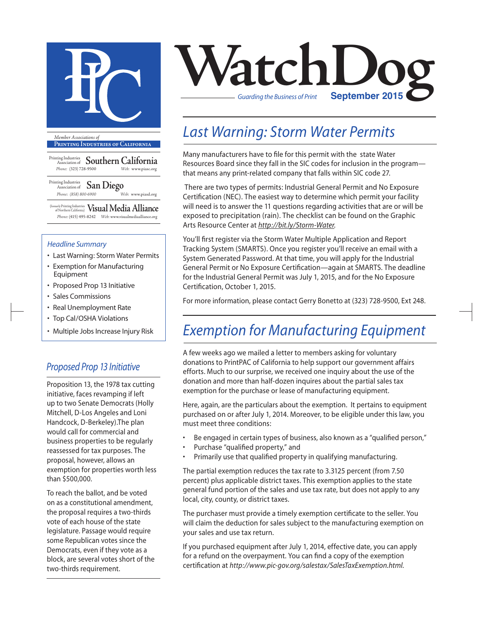

**Printing Industries of California**

Printing Industries Association of **Southern California** *Phone:* (323) 728-9500 *Web:* www.piasc.org

Printing Industries Association of **San Diego** *Phone: (858) 800-6900 Web:* www.piasd.org

(formerly Printing Industries of Northern California) **Visual Media Alliance** *Phone:* (415) 495-8242 *Web:* www.visualmediaalliance.org

#### *Headline Summary*

- Last Warning: Storm Water Permits
- Exemption for Manufacturing Equipment
- Proposed Prop 13 Initiative
- Sales Commissions
- Real Unemployment Rate
- Top Cal/OSHA Violations
- Multiple Jobs Increase Injury Risk

#### *Proposed Prop 13 Initiative*

Proposition 13, the 1978 tax cutting initiative, faces revamping if left up to two Senate Democrats (Holly Mitchell, D-Los Angeles and Loni Handcock, D-Berkeley).The plan would call for commercial and business properties to be regularly reassessed for tax purposes. The proposal, however, allows an exemption for properties worth less than \$500,000.

To reach the ballot, and be voted on as a constitutional amendment, the proposal requires a two-thirds vote of each house of the state legislature. Passage would require some Republican votes since the Democrats, even if they vote as a block, are several votes short of the two-thirds requirement.



## *Last Warning: Storm Water Permits*

Many manufacturers have to file for this permit with the state Water Resources Board since they fall in the SIC codes for inclusion in the program that means any print-related company that falls within SIC code 27.

There are two types of permits: Industrial General Permit and No Exposure Certification (NEC). The easiest way to determine which permit your facility will need is to answer the 11 questions regarding activities that are or will be exposed to precipitation (rain). The checklist can be found on the Graphic Arts Resource Center at *http://bit.ly/Storm-Water.*

You'll first register via the Storm Water Multiple Application and Report Tracking System (SMARTS). Once you register you'll receive an email with a System Generated Password. At that time, you will apply for the Industrial General Permit or No Exposure Certification—again at SMARTS. The deadline for the Industrial General Permit was July 1, 2015, and for the No Exposure Certification, October 1, 2015.

For more information, please contact Gerry Bonetto at (323) 728-9500, Ext 248.

## *Exemption for Manufacturing Equipment*

A few weeks ago we mailed a letter to members asking for voluntary donations to PrintPAC of California to help support our government affairs efforts. Much to our surprise, we received one inquiry about the use of the donation and more than half-dozen inquires about the partial sales tax exemption for the purchase or lease of manufacturing equipment.

Here, again, are the particulars about the exemption. It pertains to equipment purchased on or after July 1, 2014. Moreover, to be eligible under this law, you must meet three conditions:

- Be engaged in certain types of business, also known as a "qualified person,"
- Purchase "qualified property," and
- Primarily use that qualified property in qualifying manufacturing.

The partial exemption reduces the tax rate to 3.3125 percent (from 7.50 percent) plus applicable district taxes. This exemption applies to the state general fund portion of the sales and use tax rate, but does not apply to any local, city, county, or district taxes.

The purchaser must provide a timely exemption certificate to the seller. You will claim the deduction for sales subject to the manufacturing exemption on your sales and use tax return.

If you purchased equipment after July 1, 2014, effective date, you can apply for a refund on the overpayment. You can find a copy of the exemption certification at *http://www.pic-gov.org/salestax/SalesTaxExemption.html.*